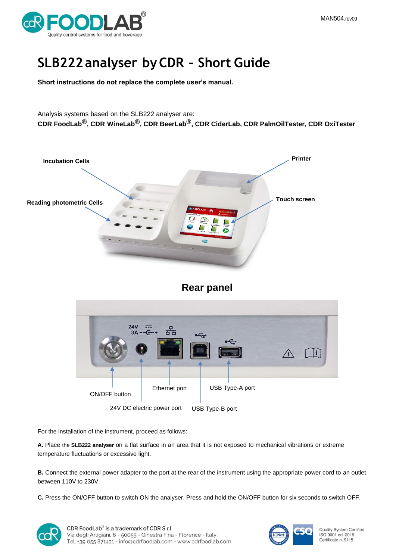

# **SLB222analyser byCDR – Short Guide**

**Short instructions do not replace the complete user's manual.**

Analysis systems based on the SLB222 analyser are: **CDR FoodLab®, CDR WineLab®, CDR BeerLab®, CDR CiderLab, CDR PalmOilTester, CDR OxiTester**







For the installation of the instrument, proceed as follows:

**A.** Place the **SLB222 analyser** on a flat surface in an area that it is not exposed to mechanical vibrations or extreme temperature fluctuations or excessive light.

**B.** Connect the external power adapter to the port at the rear of the instrument using the appropriate power cord to an outlet between 110V to 230V.

**C.** Press the ON/OFF button to switch ON the analyser. Press and hold the ON/OFF button for six seconds to switch OFF.



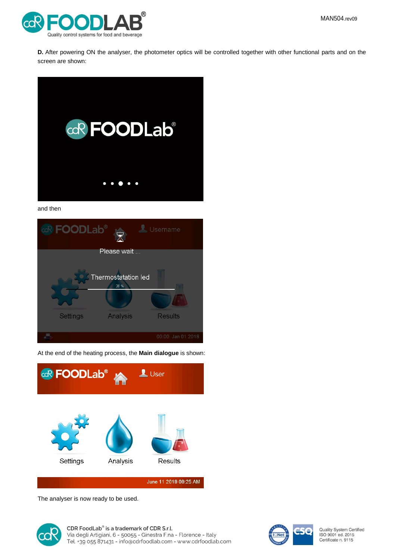

**D.** After powering ON the analyser, the photometer optics will be controlled together with other functional parts and on the screen are shown:



and then



At the end of the heating process, the **Main dialogue** is shown:



The analyser is now ready to be used.





Quality System Certified ISO 9001 ed. 2015<br>Certificate n. 9115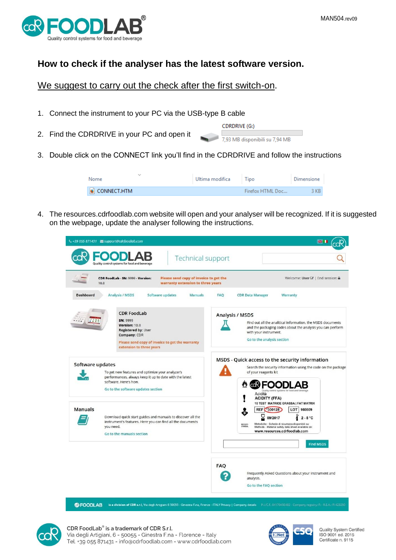

# **How to check if the analyser has the latest software version.**

We suggest to carry out the check after the first switch-on.

- 1. Connect the instrument to your PC via the USB-type B cable
- 2. Find the CDRDRIVE in your PC and open it

| CDRDRIVE (G:)                  |  |  |  |
|--------------------------------|--|--|--|
| 7.93 MB disponibili su 7.94 MB |  |  |  |

3. Double click on the CONNECT link you'll find in the CDRDRIVE and follow the instructions

| $\checkmark$<br>Nome  | Ultima modifica | Tipo             | Dimensione |
|-----------------------|-----------------|------------------|------------|
| $\bullet$ CONNECT.HTM |                 | Firefox HTML Doc | $-3$ KB.   |

4. The resources.cdrfoodlab.com website will open and your analyser will be recognized. If it is suggested on the webpage, update the analyser following the instructions.

| ₹ +39 055 871431 support@cdrfoodlab.com<br><b>Technical support</b>                                                                                                                            | <b>第1</b>                                                                                                                                                                                                                                                                 |
|------------------------------------------------------------------------------------------------------------------------------------------------------------------------------------------------|---------------------------------------------------------------------------------------------------------------------------------------------------------------------------------------------------------------------------------------------------------------------------|
| Quality control systems for food and beverage<br>Please send copy of invoice to get the<br>CDR FoodLab - SN: 9999 - Version:<br><b>HH</b><br>warranty extension to three years<br>10.8         | Welcome: User @   End session: A                                                                                                                                                                                                                                          |
| Software updates<br><b>Dashboard</b><br><b>Analysis / MSDS</b><br>Manuals                                                                                                                      | <b>FAO</b><br><b>CDR Data Manager</b><br>Warranty                                                                                                                                                                                                                         |
| <b>CDR FoodLab</b><br>SN: 9999<br>Version: 10.8<br><b>Registered by: User</b><br>Company: CDR<br>Please send copy of invoice to get the warranty<br>extension to three years                   | <b>Analysis / MSDS</b><br>Find out all the analitical information, the MSDS documents<br>and the packaging codes about the analysis you can perform<br>with your instrument.<br>Go to the analysis section                                                                |
| Software updates<br>To get new features and optimize your analyzer's<br>performances, always keep it up to date with the latest<br>software. Here's how.<br>Go to the software updates section | MSDS - Quick access to the security information<br>Search the security information using the code on the package<br>of your reagents kit<br><b><b>EN FOODLAB</b></b><br>Quality control systems for food and beverage<br>Acidità<br><b>ACIDITY (FFA)</b>                  |
| Manuals<br>Download quick start guides and manuals to discover all the<br>instrument's features. Here you can find all the documents<br>you need.<br>Go to the manuals section                 | 10 TEST MATRICE GRASSA   FAT MATRIX<br>REF 300128<br>LOT 160809<br>09/2017<br>$2 - 8 °C$<br>Metodiche - Schede di sicurezza disponibili su:<br>NO GHS<br>SYMBOL<br>Methods - Material safety data sheet available on:<br>www.resources.cdrfoodlab.com<br><b>Find MSDS</b> |
|                                                                                                                                                                                                | <b>FAQ</b><br>Frequently Asked Questions about your instrument and<br>analysis.<br>Go to the FAO section                                                                                                                                                                  |

COFOODLAB is a division of CDR s.r.l, Via degli Artigiani 6 50055 - Ginestra F.na, Firenze - ITALY Privacy | Company details P.L.C.F, 04170450482 - Company registry: Fi - R.E.A : FI 423250



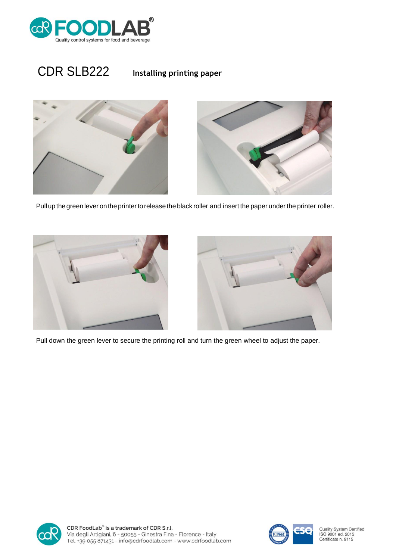

# CDR SLB222 **Installing printing paper**



Pull up the green lever on the printer to release the black roller and insert the paper under the printer roller.





Pull down the green lever to secure the printing roll and turn the green wheel to adjust the paper.



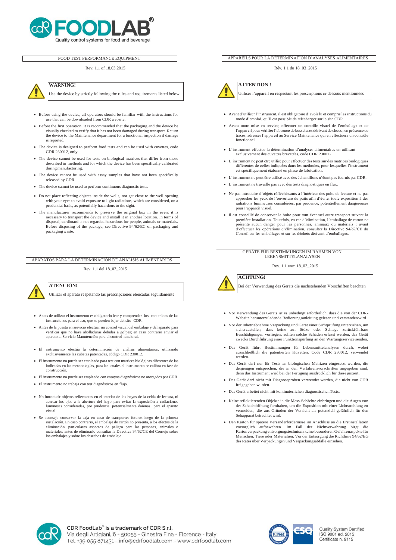

### FOOD TEST PERFORMANCE EQUIPMENT

#### Rev. 1.1 of 18.03.2015



**WARNING!**

Use the device by strictly following the rules and requirements listed below

- Before using the device, all operators should be familiar with the instructions for use that can be downloaded from CDR website.
- Before the first operation, it is recommended that the packaging and the device be visually checked to verify that it has not been damaged during transport. Return the device to the Maintenance department for a functional inspection if damage is reported.
- The device is designed to perform food tests and can be used with cuvettes, code CDR 230012, only.
- The device cannot be used for tests on biological matrices that differ from those described in methods and for which the device has been specifically calibrated during manufacturing.
- The device cannot be used with assay samples that have not been specifically released by CDR.
- The device cannot be used to perform continuous diagnostic tests.
- Do not place reflecting objects inside the wells, nor get close to the well opening with your eyes to avoid exposure to light radiations, which are considered, on a prudential basis, as potentially hazardous to the sight.
- The manufacturer recommends to preserve the original box in the event it is necessary to transport the device and install it in another location. In terms of disposal, cardboard is not regarded hazardous for people, animals or materials. Before disposing of the package, see Directive 94/62/EC on packaging and packaging waste.

### APARATOS PARA LA DETERMINACIÓN DE ANÁLISIS ALIMENTARIOS

Rev. 1.1 del 18\_03\_2015

# **ATENCIÓN!**

Utilizar el aparato respetando las prescripciones elencadas seguidamente

- Antes de utilizar el instrumento es obligatorio leer y comprender los contenidos de las instrucciones para el uso, que se pueden bajar del sito CDR.
- Antes de la puesta en servicio efectuar un control visual del embalaje y del aparato para verificar que no haya abolladuras debidas a golpes; en caso contrario enviar el aparato al Servicio Manutención para el control funcional.
- El instrumento efectúa la determinación de análisis alimentarios, utilizando exclusivamente las cubetas patentadas, código CDR 230012.
- El instrumento no puede ser empleado para test con matrices biológicas diferentes de las indicadas en las metodologías, para las cuales el instrumento se calibra en fase de construcción.
- El instrumento no puede ser empleado con ensayos diagnósticos no otorgados por CDR.
- El instrumento no trabaja con test diagnósticos en flujo.
- No introducir objetos reflectantes en el interior de los hoyos de la celda de lectura, ni acercar los ojos a la abertura del hoyo para evitar la exposición a radiaciones luminosas consideradas, por prudencia, potencialmente dañinas para el aparato visual.
- Se aconseja conservar la caja en caso de transportes futuros luego de la primera instalación. En caso contrario, el embalaje de cartón no presenta, a los efectos de la eliminación, particulares aspectos de peligro para las personas, animales o materiales: antes de eliminarlo consultar la Directiva 94/62/CE del Consejo sobre los embalajes y sobre los desechos de embalaje.

#### APPAREILS POUR LA DÉTERMINATION D'ANALYSES ALIMENTAIRES

Rév. 1.1 du 18\_03\_2015



### **ATTENTION !**

Utiliser l'appareil en respectant les prescriptions ci-dessous mentionnées

- Avant d'utiliser l'instrument, il est obligatoire d'avoir lu et compris les instructions du mode d'emploi, qu'il est possible de télécharger sur le site CDR.
- Avant toute mise en service, effectuer un contrôle visuel de l'emballage et de l'appareil pour vérifierl'absence de bosselures dérivant de chocs; en présence de traces, adresser l'appareil au Service Maintenance qui en effectuera un contrôle fonctionnel.
- L'instrument effectue la détermination d'analyses alimentaires en utilisant exclusivement des cuvettes brevetées, code CDR 230012.
- L'instrument ne peut être utilisé pour effectuer des tests sur des matrices biologiques différentes de celles indiquées dans les méthodes, pour lesquelles l'instrument est spécifiquement étalonné en phase de fabrication.
- L'instrument ne peut être utilisé avec des échantillons n'étant pas fournis par CDR.
- L'instrument ne travaille pas avec des tests diagnostiques en flux.
- Ne pas introduire d'objets réfléchissants à l'intérieur des puits de lecture et ne pas approcher les yeux de l'ouverture du puits afin d'éviter toute exposition à des radiations lumineuses considérées, par prudence, potentiellement dangereuses pour l'appareil visuel.
- Il est conseillé de conserver la boîte pour tout éventuel autre transport suivant la première installation. Toutefois, en cas d'élimination, l'emballage de carton ne présente aucun danger pour les personnes, animaux ou matériels : avant d'effectuer les opérations d'élimination, consulter la Directive 94/62/CE du Conseil sur les emballages et sur les déchets dérivant d'emballages.

GERÄTE FÜR BESTIMMUNGEN IM RAHMEN VON LEBENSMITTELANALYSEN

Rev. 1.1 vom 18\_03\_2015



**ACHTUNG!**

Bei der Verwendung des Geräts die nachstehenden Vorschriften beachten

- Vor Verwendung des Geräts ist es unbedingt erforderlich, dass die von der CDR-Website herunterzuladende Bedienungsanleitung gelesen und verstandenwird.
- Vor der Inbetriebnahme Verpackung und Gerät einer Sichtprüfung unterziehen, um sicherzustellen, dass keine auf Stöße oder Schläge zurückführbare Beschädigungen vorliegen; sollten solche Schäden erfasst werden, das Gerät zwecks Durchführung einer Funktionspürfung an den Wartungsservice senden.
- Das Gerät führt Bestimmungen für Lebensmittelanalysen durch, wobei ausschließlich die patentierten Küvetten, Code CDR 230012, verwendet werden.
- Das Gerät darf nur für Tests an biologischen Matrizen eingesetzt werden, die denjenigen entsprechen, die in den Verfahrensvorschriften angegeben sind, denn das Instrument wird bei der Fertigung ausdrücklich für diese justiert.
- Das Gerät darf nicht mit Diagnoseproben verwendet werden, die nicht von CDR freigegeben wurden.
- Das Gerät arbeitet nicht mit kontinuierlichen diagnostischenTests.
- Keine reflektierenden Objekte in die Mess-Schächte einbringen und die Augen von der Schachtöffnung fernhalten, um die Exposition mit einer Lichtstrahlung zu vermeiden, die aus Gründen der Vorsicht als potenziell gefährlich für den Sehapparat betrachtet wird.
- Den Karton für spätere Versanderfordernisse im Anschluss an die Erstinstallation vorsorglich aufbewahren. Im Fall der Nichtverwahrung birgt die Kartonverpackung entsorgungstechnisch keine besonderen Gefahrenaspekte für Menschen, Tiere oder Materialien: Vor der Entsorgung die Richtlinie 94/62/EG des Rates über Verpackungen und Verpackungsabfälle einsehen.